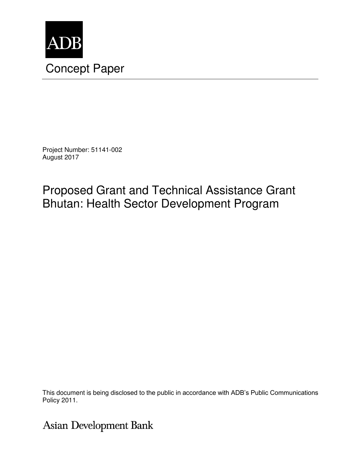

Project Number: 51141-002 August 2017

# Proposed Grant and Technical Assistance Grant Bhutan: Health Sector Development Program

This document is being disclosed to the public in accordance with ADB's Public Communications Policy 2011.

Asian Development Bank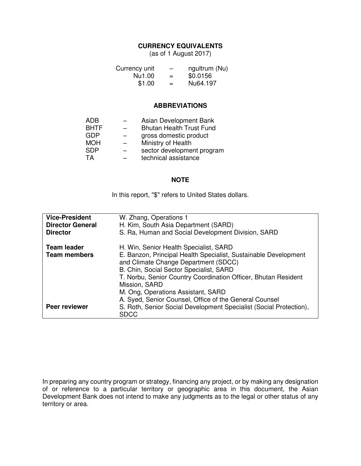#### **CURRENCY EQUIVALENTS**

(as of 1 August 2017)

| Currency unit | $\overline{\phantom{0}}$ | ngultrum (Nu) |
|---------------|--------------------------|---------------|
| Nu1.00        | $=$                      | \$0.0156      |
| \$1.00        | $=$                      | Nu64.197      |

#### **ABBREVIATIONS**

| ADB         | Asian Development Bank          |
|-------------|---------------------------------|
| <b>BHTF</b> | <b>Bhutan Health Trust Fund</b> |
| <b>GDP</b>  | gross domestic product          |
| <b>MOH</b>  | Ministry of Health              |
| <b>SDP</b>  | sector development program      |
| TA          | technical assistance            |

#### **NOTE**

In this report, "\$" refers to United States dollars.

| <b>Vice-President</b><br><b>Director General</b><br><b>Director</b> | W. Zhang, Operations 1<br>H. Kim, South Asia Department (SARD)<br>S. Ra, Human and Social Development Division, SARD                                                                                                                                                                                                  |
|---------------------------------------------------------------------|-----------------------------------------------------------------------------------------------------------------------------------------------------------------------------------------------------------------------------------------------------------------------------------------------------------------------|
| <b>Team leader</b><br><b>Team members</b>                           | H. Win, Senior Health Specialist, SARD<br>E. Banzon, Principal Health Specialist, Sustainable Development<br>and Climate Change Department (SDCC)<br>B. Chin, Social Sector Specialist, SARD<br>T. Norbu, Senior Country Coordination Officer, Bhutan Resident<br>Mission, SARD<br>M. Ong, Operations Assistant, SARD |
| Peer reviewer                                                       | A. Syed, Senior Counsel, Office of the General Counsel<br>S. Roth, Senior Social Development Specialist (Social Protection),<br><b>SDCC</b>                                                                                                                                                                           |

In preparing any country program or strategy, financing any project, or by making any designation of or reference to a particular territory or geographic area in this document, the Asian Development Bank does not intend to make any judgments as to the legal or other status of any territory or area.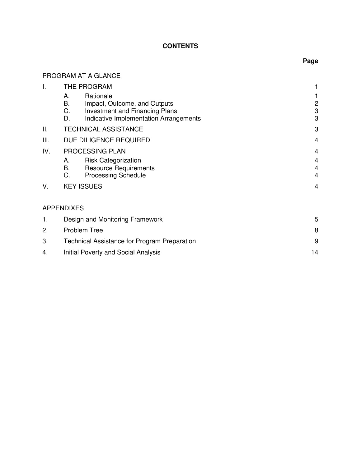### **CONTENTS**

# PROGRAM AT A GLANCE

| Τ.  | THE PROGRAM                                                                                                                                          |                                                |
|-----|------------------------------------------------------------------------------------------------------------------------------------------------------|------------------------------------------------|
|     | Rationale<br>А.<br>В.<br>Impact, Outcome, and Outputs<br>C.<br><b>Investment and Financing Plans</b><br>D.<br>Indicative Implementation Arrangements | 2<br>3<br>3                                    |
| Ш.  | <b>TECHNICAL ASSISTANCE</b>                                                                                                                          | 3                                              |
| Ш.  | DUE DILIGENCE REQUIRED                                                                                                                               | 4                                              |
| IV. | PROCESSING PLAN                                                                                                                                      | 4                                              |
|     | <b>Risk Categorization</b><br>А.<br><b>B.</b><br><b>Resource Requirements</b><br>C.<br><b>Processing Schedule</b>                                    | 4<br>$\overline{\mathbf{4}}$<br>$\overline{4}$ |
| V.  | <b>KEY ISSUES</b>                                                                                                                                    | 4                                              |
|     | <b>APPENDIXES</b>                                                                                                                                    |                                                |
| 1.  | Design and Monitoring Framework                                                                                                                      | 5                                              |
| 2.  | <b>Problem Tree</b>                                                                                                                                  | 8                                              |
| 3.  | <b>Technical Assistance for Program Preparation</b>                                                                                                  | 9                                              |
| 4.  | <b>Initial Poverty and Social Analysis</b>                                                                                                           | 14                                             |

# **Page**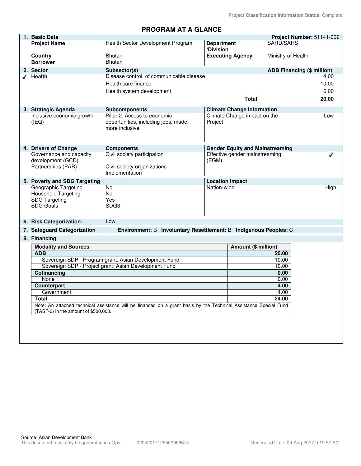# **PROGRAM AT A GLANCE**

| 1. Basic Data                            |                                                                                                                   |                                |                                        | Project Number: 51141-002         |       |
|------------------------------------------|-------------------------------------------------------------------------------------------------------------------|--------------------------------|----------------------------------------|-----------------------------------|-------|
| <b>Project Name</b>                      | Health Sector Development Program                                                                                 | <b>Department</b><br>/Division |                                        | SARD/SAHS                         |       |
| Country<br><b>Borrower</b>               | <b>Bhutan</b><br><b>Bhutan</b>                                                                                    |                                | <b>Executing Agency</b>                | Ministry of Health                |       |
| 2. Sector                                | Subsector(s)                                                                                                      |                                |                                        | <b>ADB Financing (\$ million)</b> |       |
| $\sqrt{ }$ Health                        | Disease control of communicable disease                                                                           |                                |                                        |                                   | 4.00  |
|                                          | Health care finance                                                                                               |                                |                                        |                                   | 10.00 |
|                                          | Health system development                                                                                         |                                |                                        |                                   | 6.00  |
|                                          |                                                                                                                   |                                | <b>Total</b>                           |                                   | 20.00 |
| 3. Strategic Agenda                      | <b>Subcomponents</b>                                                                                              |                                | <b>Climate Change Information</b>      |                                   |       |
| Inclusive economic growth<br>(IEG)       | Pillar 2: Access to economic<br>opportunities, including jobs, made<br>more inclusive                             | Project                        | Climate Change impact on the           |                                   | Low   |
| 4. Drivers of Change                     | <b>Components</b>                                                                                                 |                                | <b>Gender Equity and Mainstreaming</b> |                                   |       |
| Governance and capacity                  | Civil society participation                                                                                       |                                | Effective gender mainstreaming         |                                   |       |
| development (GCD)                        |                                                                                                                   | (EGM)                          |                                        |                                   |       |
| Partnerships (PAR)                       | Civil society organizations<br>Implementation                                                                     |                                |                                        |                                   |       |
| 5. Poverty and SDG Targeting             |                                                                                                                   | <b>Location Impact</b>         |                                        |                                   |       |
| Geographic Targeting                     | No                                                                                                                | Nation-wide                    |                                        |                                   | High  |
| <b>Household Targeting</b>               | No.<br>Yes                                                                                                        |                                |                                        |                                   |       |
| <b>SDG Targeting</b><br><b>SDG Goals</b> | SDG <sub>3</sub>                                                                                                  |                                |                                        |                                   |       |
|                                          |                                                                                                                   |                                |                                        |                                   |       |
| 6. Risk Categorization:                  | Low                                                                                                               |                                |                                        |                                   |       |
| 7. Safeguard Categorization              | Environment: B Involuntary Resettlement: B Indigenous Peoples: C                                                  |                                |                                        |                                   |       |
| 8. Financing                             |                                                                                                                   |                                |                                        |                                   |       |
| <b>Modality and Sources</b>              |                                                                                                                   |                                | Amount (\$ million)                    |                                   |       |
| <b>ADB</b>                               |                                                                                                                   |                                |                                        | 20.00                             |       |
|                                          | Sovereign SDP - Program grant: Asian Development Fund                                                             |                                |                                        | 10.00                             |       |
|                                          | Sovereign SDP - Project grant: Asian Development Fund                                                             |                                |                                        | 10.00                             |       |
| Cofinancing                              |                                                                                                                   |                                |                                        | 0.00                              |       |
| None                                     |                                                                                                                   |                                |                                        | 0.00                              |       |
| Counterpart                              |                                                                                                                   |                                |                                        | 4.00                              |       |
| Government<br><b>Total</b>               |                                                                                                                   |                                |                                        | 4.00<br>24.00                     |       |
|                                          | Note: An attached technical assistance will be financed on a grant basis by the Technical Assistance Special Fund |                                |                                        |                                   |       |
| (TASF-6) in the amount of \$500,000.     |                                                                                                                   |                                |                                        |                                   |       |
|                                          |                                                                                                                   |                                |                                        |                                   |       |
|                                          |                                                                                                                   |                                |                                        |                                   |       |
|                                          |                                                                                                                   |                                |                                        |                                   |       |
|                                          |                                                                                                                   |                                |                                        |                                   |       |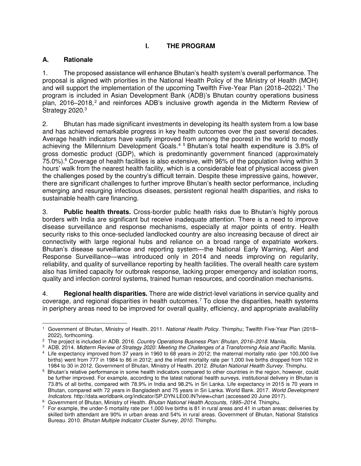# **I. THE PROGRAM**

# **A. Rationale**

1. The proposed assistance will enhance Bhutan's health system's overall performance. The proposal is aligned with priorities in the National Health Policy of the Ministry of Health (MOH) and will support the implementation of the upcoming Twelfth Five-Year Plan (2018–2022).<sup>1</sup> The program is included in Asian Development Bank (ADB)'s Bhutan country operations business plan,  $2016-2018$ ,  $2$  and reinforces ADB's inclusive growth agenda in the Midterm Review of Strategy 2020.<sup>3</sup>

2. Bhutan has made significant investments in developing its health system from a low base and has achieved remarkable progress in key health outcomes over the past several decades. Average health indicators have vastly improved from among the poorest in the world to mostly achieving the Millennium Development Goals.<sup>4</sup> <sup>5</sup> Bhutan's total health expenditure is 3.8% of gross domestic product (GDP), which is predominantly government financed (approximately 75.0%). 6 Coverage of health facilities is also extensive, with 96% of the population living within 3 hours' walk from the nearest health facility, which is a considerable feat of physical access given the challenges posed by the country's difficult terrain. Despite these impressive gains, however, there are significant challenges to further improve Bhutan's health sector performance, including emerging and resurging infectious diseases, persistent regional health disparities, and risks to sustainable health care financing.

3. **Public health threats.** Cross-border public health risks due to Bhutan's highly porous borders with India are significant but receive inadequate attention. There is a need to improve disease surveillance and response mechanisms, especially at major points of entry. Health security risks to this once-secluded landlocked country are also increasing because of direct air connectivity with large regional hubs and reliance on a broad range of expatriate workers. Bhutan's disease surveillance and reporting system—the National Early Warning, Alert and Response Surveillance—was introduced only in 2014 and needs improving on regularity, reliability, and quality of surveillance reporting by health facilities. The overall health care system also has limited capacity for outbreak response, lacking proper emergency and isolation rooms, quality and infection control systems, trained human resources, and coordination mechanisms.

4. **Regional health disparities.** There are wide district-level variations in service quality and coverage, and regional disparities in health outcomes.<sup>7</sup> To close the disparities, health systems in periphery areas need to be improved for overall quality, efficiency, and appropriate availability

 $\overline{a}$ 1 Government of Bhutan, Ministry of Health. 2011. *National Health Policy.* Thimphu; Twelfth Five-Year Plan (2018– 2022), forthcoming.

<sup>2</sup> The project is included in ADB. 2016. *Country Operations Business Plan: Bhutan, 2016–2018.* Manila.

<sup>3</sup> ADB. 2014. *Midterm Review of Strategy 2020: Meeting the Challenges of a Transforming Asia and Pacific.* Manila.

<sup>4</sup> Life expectancy improved from 37 years in 1960 to 68 years in 2012; the maternal mortality ratio (per 100,000 live births) went from 777 in 1984 to 86 in 2012; and the infant mortality rate per 1,000 live births dropped from 102 in 1984 to 30 in 2012. Government of Bhutan, Ministry of Health. 2012. *Bhutan National Health Survey*. Thimphu.

<sup>5</sup> Bhutan's relative performance in some health indicators compared to other countries in the region, however, could be further improved. For example, according to the latest national health surveys, institutional delivery in Bhutan is 73.8% of all births, compared with 78.9% in India and 98.2% in Sri Lanka. Life expectancy in 2015 is 70 years in Bhutan, compared with 72 years in Bangladesh and 75 years in Sri Lanka. World Bank. 2017. *World Development Indicators.*<http://data.worldbank.org/indicator/SP.DYN.LE00.IN?view=chart>(accessed 20 June 2017).

<sup>6</sup> Government of Bhutan, Ministry of Health. *Bhutan National Health Accounts, 1995–2014*. Thimphu.

 $^7$  For example, the under-5 mortality rate per 1,000 live births is 81 in rural areas and 41 in urban areas; deliveries by skilled birth attendant are 90% in urban areas and 54% in rural areas. Government of Bhutan, National Statistics Bureau. 2010. *Bhutan Multiple Indicator Cluster Survey, 2010.* Thimphu.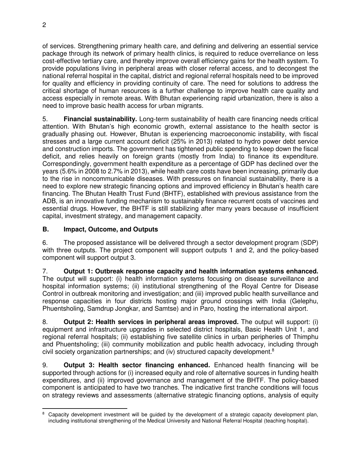of services. Strengthening primary health care, and defining and delivering an essential service package through its network of primary health clinics, is required to reduce overreliance on less cost-effective tertiary care, and thereby improve overall efficiency gains for the health system. To provide populations living in peripheral areas with closer referral access, and to decongest the national referral hospital in the capital, district and regional referral hospitals need to be improved for quality and efficiency in providing continuity of care. The need for solutions to address the critical shortage of human resources is a further challenge to improve health care quality and access especially in remote areas. With Bhutan experiencing rapid urbanization, there is also a need to improve basic health access for urban migrants.

5. **Financial sustainability.** Long-term sustainability of health care financing needs critical attention. With Bhutan's high economic growth, external assistance to the health sector is gradually phasing out. However, Bhutan is experiencing macroeconomic instability, with fiscal stresses and a large current account deficit (25% in 2013) related to hydro power debt service and construction imports. The government has tightened public spending to keep down the fiscal deficit, and relies heavily on foreign grants (mostly from India) to finance its expenditure. Correspondingly, government health expenditure as a percentage of GDP has declined over the years (5.6% in 2008 to 2.7% in 2013), while health care costs have been increasing, primarily due to the rise in noncommunicable diseases. With pressures on financial sustainability, there is a need to explore new strategic financing options and improved efficiency in Bhutan's health care financing. The Bhutan Health Trust Fund (BHTF), established with previous assistance from the ADB, is an innovative funding mechanism to sustainably finance recurrent costs of vaccines and essential drugs. However, the BHTF is still stabilizing after many years because of insufficient capital, investment strategy, and management capacity.

# **B. Impact, Outcome, and Outputs**

6. The proposed assistance will be delivered through a sector development program (SDP) with three outputs. The project component will support outputs 1 and 2, and the policy-based component will support output 3.

7. **Output 1: Outbreak response capacity and health information systems enhanced.**  The output will support: (i) health information systems focusing on disease surveillance and hospital information systems; (ii) institutional strengthening of the Royal Centre for Disease Control in outbreak monitoring and investigation; and (iii) improved public health surveillance and response capacities in four districts hosting major ground crossings with India (Gelephu, Phuentsholing, Samdrup Jongkar, and Samtse) and in Paro, hosting the international airport.

8. **Output 2: Health services in peripheral areas improved.** The output will support: (i) equipment and infrastructure upgrades in selected district hospitals, Basic Health Unit 1, and regional referral hospitals; (ii) establishing five satellite clinics in urban peripheries of Thimphu and Phuentsholing; (iii) community mobilization and public health advocacy, including through civil society organization partnerships; and (iv) structured capacity development.<sup>8</sup>

9. **Output 3: Health sector financing enhanced.** Enhanced health financing will be supported through actions for (i) increased equity and role of alternative sources in funding health expenditures, and (ii) improved governance and management of the BHTF. The policy-based component is anticipated to have two tranches. The indicative first tranche conditions will focus on strategy reviews and assessments (alternative strategic financing options, analysis of equity

**EXECTS**<br>8 Capacity development investment will be guided by the development of a strategic capacity development plan, including institutional strengthening of the Medical University and National Referral Hospital (teaching hospital).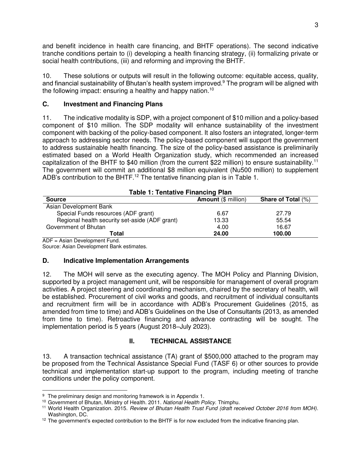and benefit incidence in health care financing, and BHTF operations). The second indicative tranche conditions pertain to (i) developing a health financing strategy, (ii) formalizing private or social health contributions, (iii) and reforming and improving the BHTF.

10. These solutions or outputs will result in the following outcome: equitable access, quality, and financial sustainability of Bhutan's health system improved.<sup>9</sup> The program will be aligned with the following impact: ensuring a healthy and happy nation.<sup>10</sup>

## **C. Investment and Financing Plans**

11. The indicative modality is SDP, with a project component of \$10 million and a policy-based component of \$10 million. The SDP modality will enhance sustainability of the investment component with backing of the policy-based component. It also fosters an integrated, longer-term approach to addressing sector needs. The policy-based component will support the government to address sustainable health financing. The size of the policy-based assistance is preliminarily estimated based on a World Health Organization study, which recommended an increased capitalization of the BHTF to \$40 million (from the current \$22 million) to ensure sustainability.<sup>11</sup> The government will commit an additional \$8 million equivalent (Nu500 million) to supplement ADB's contribution to the BHTF.<sup>12</sup> The tentative financing plan is in Table 1.

| <b>Table 1: Tentative Financing Plan</b>       |                            |                           |
|------------------------------------------------|----------------------------|---------------------------|
| <b>Source</b>                                  | <b>Amount (\$ million)</b> | <b>Share of Total (%)</b> |
| Asian Development Bank                         |                            |                           |
| Special Funds resources (ADF grant)            | 6.67                       | 27.79                     |
| Regional health security set-aside (ADF grant) | 13.33                      | 55.54                     |
| Government of Bhutan                           | 4.00                       | 16.67                     |
| Total                                          | 24.00                      | 100.00                    |

ADF = Asian Development Fund.

Source: Asian Development Bank estimates.

### **D. Indicative Implementation Arrangements**

12. The MOH will serve as the executing agency. The MOH Policy and Planning Division, supported by a project management unit, will be responsible for management of overall program activities. A project steering and coordinating mechanism, chaired by the secretary of health, will be established. Procurement of civil works and goods, and recruitment of individual consultants and recruitment firm will be in accordance with ADB's Procurement Guidelines (2015, as amended from time to time) and ADB's Guidelines on the Use of Consultants (2013, as amended from time to time). Retroactive financing and advance contracting will be sought. The implementation period is 5 years (August 2018–July 2023).

# **II. TECHNICAL ASSISTANCE**

13. A transaction technical assistance (TA) grant of \$500,000 attached to the program may be proposed from the Technical Assistance Special Fund (TASF 6) or other sources to provide technical and implementation start-up support to the program, including meeting of tranche conditions under the policy component.

 $\overline{a}$ <sup>9</sup> The preliminary design and monitoring framework is in Appendix 1.

<sup>10</sup> Government of Bhutan, Ministry of Health. 2011. *National Health Policy*. Thimphu.

<sup>11</sup> World Health Organization. 2015. *Review of Bhutan Health Trust Fund (draft received October 2016 from MOH)*. Washington, DC.

<sup>&</sup>lt;sup>12</sup> The government's expected contribution to the BHTF is for now excluded from the indicative financing plan.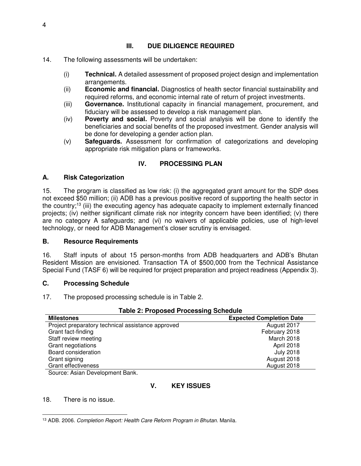# **III. DUE DILIGENCE REQUIRED**

- 14. The following assessments will be undertaken:
	- (i) **Technical.** A detailed assessment of proposed project design and implementation arrangements.
	- (ii) **Economic and financial.** Diagnostics of health sector financial sustainability and required reforms, and economic internal rate of return of project investments.
	- (iii) **Governance.** Institutional capacity in financial management, procurement, and fiduciary will be assessed to develop a risk management plan.
	- (iv) **Poverty and social.** Poverty and social analysis will be done to identify the beneficiaries and social benefits of the proposed investment. Gender analysis will be done for developing a gender action plan.
	- (v) **Safeguards.** Assessment for confirmation of categorizations and developing appropriate risk mitigation plans or frameworks.

# **IV. PROCESSING PLAN**

### **A. Risk Categorization**

15. The program is classified as low risk: (i) the aggregated grant amount for the SDP does not exceed \$50 million; (ii) ADB has a previous positive record of supporting the health sector in the country;<sup>13</sup> (iii) the executing agency has adequate capacity to implement externally financed projects; (iv) neither significant climate risk nor integrity concern have been identified; (v) there are no category A safeguards; and (vi) no waivers of applicable policies, use of high-level technology, or need for ADB Management's closer scrutiny is envisaged.

### **B. Resource Requirements**

16. Staff inputs of about 15 person-months from ADB headquarters and ADB's Bhutan Resident Mission are envisioned. Transaction TA of \$500,000 from the Technical Assistance Special Fund (TASF 6) will be required for project preparation and project readiness (Appendix 3).

### **C. Processing Schedule**

17. The proposed processing schedule is in Table 2.

| <b>Table 2: Proposed Processing Schedule</b>      |                                 |  |
|---------------------------------------------------|---------------------------------|--|
| <b>Milestones</b>                                 | <b>Expected Completion Date</b> |  |
| Project preparatory technical assistance approved | August 2017                     |  |
| Grant fact-finding                                | February 2018                   |  |
| Staff review meeting                              | March 2018                      |  |
| Grant negotiations                                | April 2018                      |  |
| Board consideration                               | <b>July 2018</b>                |  |
| Grant signing                                     | August 2018                     |  |
| <b>Grant effectiveness</b>                        | August 2018                     |  |

Source: Asian Development Bank.

# **V. KEY ISSUES**

18. There is no issue.

 $\overline{a}$ 13 ADB. 2006. *Completion Report: Health Care Reform Program in Bhutan.* Manila.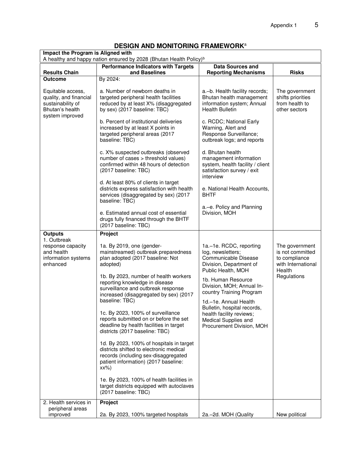| Impact the Program is Aligned with                                                                     | <b>PLOIGN AND MONTONING LIAMEWOIN</b>                                                                                                                                         |                                                                                                                           |                                                                                     |
|--------------------------------------------------------------------------------------------------------|-------------------------------------------------------------------------------------------------------------------------------------------------------------------------------|---------------------------------------------------------------------------------------------------------------------------|-------------------------------------------------------------------------------------|
|                                                                                                        | A healthy and happy nation ensured by 2028 (Bhutan Health Policy) <sup>b</sup>                                                                                                |                                                                                                                           |                                                                                     |
| <b>Results Chain</b>                                                                                   | <b>Performance Indicators with Targets</b><br>and Baselines                                                                                                                   | <b>Data Sources and</b><br><b>Reporting Mechanisms</b>                                                                    | <b>Risks</b>                                                                        |
| <b>Outcome</b>                                                                                         | By 2024:                                                                                                                                                                      |                                                                                                                           |                                                                                     |
| Equitable access,<br>quality, and financial<br>sustainability of<br>Bhutan's health<br>system improved | a. Number of newborn deaths in<br>targeted peripheral health facilities<br>reduced by at least X% (disaggregated<br>by sex) (2017 baseline: TBC)                              | a.-b. Health facility records;<br>Bhutan health management<br>information system; Annual<br><b>Health Bulletin</b>        | The government<br>shifts priorities<br>from health to<br>other sectors              |
|                                                                                                        | b. Percent of institutional deliveries<br>increased by at least X points in<br>targeted peripheral areas (2017<br>baseline: TBC)                                              | c. RCDC; National Early<br>Warning, Alert and<br>Response Surveillance;<br>outbreak logs; and reports                     |                                                                                     |
|                                                                                                        | c. X% suspected outbreaks (observed<br>number of cases > threshold values)<br>confirmed within 48 hours of detection<br>(2017 baseline: TBC)                                  | d. Bhutan health<br>management information<br>system, health facility / client<br>satisfaction survey / exit<br>interview |                                                                                     |
|                                                                                                        | d. At least 80% of clients in target<br>districts express satisfaction with health<br>services (disaggregated by sex) (2017<br>baseline: TBC)                                 | e. National Health Accounts,<br><b>BHTF</b>                                                                               |                                                                                     |
|                                                                                                        | e. Estimated annual cost of essential<br>drugs fully financed through the BHTF<br>(2017 baseline: TBC)                                                                        | a.-e. Policy and Planning<br>Division, MOH                                                                                |                                                                                     |
| <b>Outputs</b>                                                                                         | Project                                                                                                                                                                       |                                                                                                                           |                                                                                     |
| 1. Outbreak<br>response capacity<br>and health<br>information systems<br>enhanced                      | 1a. By 2019, one (gender-<br>mainstreamed) outbreak preparedness<br>plan adopted (2017 baseline: Not<br>adopted)                                                              | 1a.-1e. RCDC, reporting<br>log, newsletters;<br>Communicable Disease<br>Division, Department of<br>Public Health, MOH     | The government<br>is not committed<br>to compliance<br>with International<br>Health |
|                                                                                                        | 1b. By 2023, number of health workers<br>reporting knowledge in disease<br>surveillance and outbreak response<br>increased (disaggregated by sex) (2017<br>baseline: TBC)     | 1b. Human Resource<br>Division, MOH; Annual In-<br>country Training Program<br>1d.-1e. Annual Health                      | Regulations                                                                         |
|                                                                                                        | 1c. By 2023, 100% of surveillance<br>reports submitted on or before the set<br>deadline by health facilities in target<br>districts (2017 baseline: TBC)                      | Bulletin, hospital records,<br>health facility reviews;<br>Medical Supplies and<br>Procurement Division, MOH              |                                                                                     |
|                                                                                                        | 1d. By 2023, 100% of hospitals in target<br>districts shifted to electronic medical<br>records (including sex-disaggregated<br>patient information) (2017 baseline:<br>$XX\%$ |                                                                                                                           |                                                                                     |
|                                                                                                        | 1e. By 2023, 100% of health facilities in<br>target districts equipped with autoclaves<br>(2017 baseline: TBC)                                                                |                                                                                                                           |                                                                                     |
| 2. Health services in                                                                                  | Project                                                                                                                                                                       |                                                                                                                           |                                                                                     |
| peripheral areas<br>improved                                                                           | 2a. By 2023, 100% targeted hospitals                                                                                                                                          | 2a.-2d. MOH (Quality                                                                                                      | New political                                                                       |

# **DESIGN AND MONITORING FRAMEWORK**<sup>a</sup>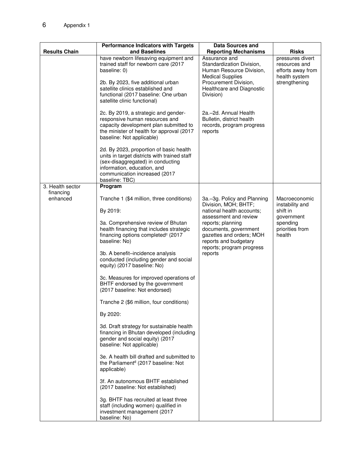|                       | <b>Performance Indicators with Targets</b>                                                                                                                                                                     | <b>Data Sources and</b>                                                                                                                               |                                                     |
|-----------------------|----------------------------------------------------------------------------------------------------------------------------------------------------------------------------------------------------------------|-------------------------------------------------------------------------------------------------------------------------------------------------------|-----------------------------------------------------|
| <b>Results Chain</b>  | and Baselines<br>have newborn lifesaving equipment and                                                                                                                                                         | <b>Reporting Mechanisms</b><br>Assurance and                                                                                                          | <b>Risks</b><br>pressures divert                    |
|                       | trained staff for newborn care (2017<br>baseline: 0)                                                                                                                                                           | Standardization Division,<br>Human Resource Division,<br><b>Medical Supplies</b>                                                                      | resources and<br>efforts away from<br>health system |
|                       | 2b. By 2023, five additional urban<br>satellite clinics established and<br>functional (2017 baseline: One urban<br>satellite clinic functional)                                                                | Procurement Division,<br>Healthcare and Diagnostic<br>Division)                                                                                       | strengthening                                       |
|                       | 2c. By 2019, a strategic and gender-<br>responsive human resources and<br>capacity development plan submitted to<br>the minister of health for approval (2017<br>baseline: Not applicable)                     | 2a.-2d. Annual Health<br>Bulletin, district health<br>records, program progress<br>reports                                                            |                                                     |
|                       | 2d. By 2023, proportion of basic health<br>units in target districts with trained staff<br>(sex-disaggregated) in conducting<br>information, education, and<br>communication increased (2017<br>baseline: TBC) |                                                                                                                                                       |                                                     |
| 3. Health sector      | Program                                                                                                                                                                                                        |                                                                                                                                                       |                                                     |
| financing<br>enhanced | Tranche 1 (\$4 million, three conditions)                                                                                                                                                                      | 3a.–3g. Policy and Planning<br>Division, MOH; BHTF;                                                                                                   | Macroeconomic<br>instability and                    |
|                       | By 2019:                                                                                                                                                                                                       | national health accounts;                                                                                                                             | shift in                                            |
|                       | 3a. Comprehensive review of Bhutan<br>health financing that includes strategic<br>financing options completed <sup>c</sup> (2017<br>baseline: No)                                                              | assessment and review<br>reports; planning<br>documents, government<br>gazettes and orders; MOH<br>reports and budgetary<br>reports; program progress | government<br>spending<br>priorities from<br>health |
|                       | 3b. A benefit-incidence analysis<br>conducted (including gender and social<br>equity) (2017 baseline: No)                                                                                                      | reports                                                                                                                                               |                                                     |
|                       | 3c. Measures for improved operations of<br>BHTF endorsed by the government<br>(2017 baseline: Not endorsed)                                                                                                    |                                                                                                                                                       |                                                     |
|                       | Tranche 2 (\$6 million, four conditions)                                                                                                                                                                       |                                                                                                                                                       |                                                     |
|                       | By 2020:                                                                                                                                                                                                       |                                                                                                                                                       |                                                     |
|                       | 3d. Draft strategy for sustainable health<br>financing in Bhutan developed (including<br>gender and social equity) (2017<br>baseline: Not applicable)                                                          |                                                                                                                                                       |                                                     |
|                       | 3e. A health bill drafted and submitted to<br>the Parliament <sup>d</sup> (2017 baseline: Not<br>applicable)                                                                                                   |                                                                                                                                                       |                                                     |
|                       | 3f. An autonomous BHTF established<br>(2017 baseline: Not established)                                                                                                                                         |                                                                                                                                                       |                                                     |
|                       | 3g. BHTF has recruited at least three<br>staff (including women) qualified in<br>investment management (2017<br>baseline: No)                                                                                  |                                                                                                                                                       |                                                     |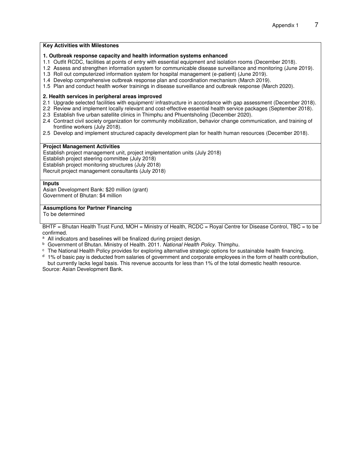#### **Key Activities with Milestones**

#### **1. Outbreak response capacity and health information systems enhanced**

- 1.1 Outfit RCDC, facilities at points of entry with essential equipment and isolation rooms (December 2018).
- 1.2 Assess and strengthen information system for communicable disease surveillance and monitoring (June 2019).
- 1.3 Roll out computerized information system for hospital management (e-patient) (June 2019).
- 1.4 Develop comprehensive outbreak response plan and coordination mechanism (March 2019).
- 1.5 Plan and conduct health worker trainings in disease surveillance and outbreak response (March 2020).

#### **2. Health services in peripheral areas improved**

- 2.1 Upgrade selected facilities with equipment/ infrastructure in accordance with gap assessment (December 2018).
- 2.2 Review and implement locally relevant and cost-effective essential health service packages (September 2018).
- 2.3 Establish five urban satellite clinics in Thimphu and Phuentsholing (December 2020).
- 2.4 Contract civil society organization for community mobilization, behavior change communication, and training of frontline workers (July 2018).
- 2.5 Develop and implement structured capacity development plan for health human resources (December 2018).

#### **Project Management Activities**

Establish project management unit, project implementation units (July 2018) Establish project steering committee (July 2018) Establish project monitoring structures (July 2018) Recruit project management consultants (July 2018)

#### **Inputs**

Asian Development Bank: \$20 million (grant) Government of Bhutan: \$4 million

#### **Assumptions for Partner Financing**

To be determined

BHTF = Bhutan Health Trust Fund, MOH = Ministry of Health, RCDC = Royal Centre for Disease Control, TBC = to be confirmed.

<sup>a</sup> All indicators and baselines will be finalized during project design.

- b Government of Bhutan. Ministry of Health. 2011. *National Health Policy*. Thimphu.
- c The National Health Policy provides for exploring alternative strategic options for sustainable health financing.

 $d$  1% of basic pay is deducted from salaries of government and corporate employees in the form of health contribution, but currently lacks legal basis. This revenue accounts for less than 1% of the total domestic health resource.

Source: Asian Development Bank.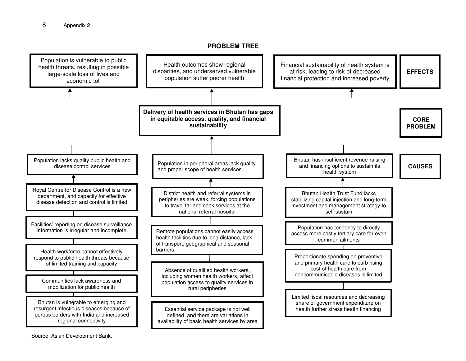#### **PROBLEM TREE**

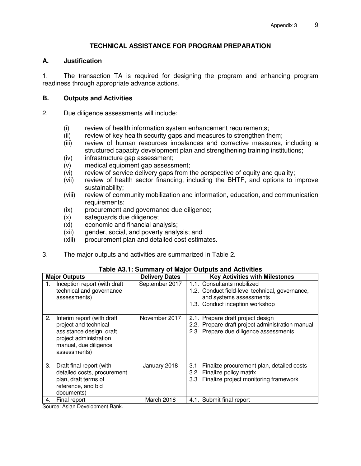# **TECHNICAL ASSISTANCE FOR PROGRAM PREPARATION**

#### **A. Justification**

1. The transaction TA is required for designing the program and enhancing program readiness through appropriate advance actions.

#### **B. Outputs and Activities**

- 2. Due diligence assessments will include:
	- (i) review of health information system enhancement requirements;
	- (ii) review of key health security gaps and measures to strengthen them;
	- (iii) review of human resources imbalances and corrective measures, including a structured capacity development plan and strengthening training institutions;
	- (iv) infrastructure gap assessment;
	- (v) medical equipment gap assessment;
	- (vi) review of service delivery gaps from the perspective of equity and quality;
	- (vii) review of health sector financing, including the BHTF, and options to improve sustainability;
	- (viii) review of community mobilization and information, education, and communication requirements;
	- (ix) procurement and governance due diligence;
	- (x) safeguards due diligence;
	- (xi) economic and financial analysis;
	- (xii) gender, social, and poverty analysis; and
	- (xiii) procurement plan and detailed cost estimates.
- 3. The major outputs and activities are summarized in Table 2.

| <b>Major Outputs</b>                                                                                                                                      | <b>Delivery Dates</b> | <b>Key Activities with Milestones</b>                                                                                                       |
|-----------------------------------------------------------------------------------------------------------------------------------------------------------|-----------------------|---------------------------------------------------------------------------------------------------------------------------------------------|
| Inception report (with draft<br>1.<br>technical and governance<br>assessments)                                                                            | September 2017        | 1.1. Consultants mobilized<br>1.2. Conduct field-level technical, governance,<br>and systems assessments<br>1.3. Conduct inception workshop |
| 2.<br>Interim report (with draft)<br>project and technical<br>assistance design, draft<br>project administration<br>manual, due diligence<br>assessments) | November 2017         | 2.1. Prepare draft project design<br>2.2. Prepare draft project administration manual<br>2.3. Prepare due diligence assessments             |
| 3.<br>Draft final report (with<br>detailed costs, procurement<br>plan, draft terms of<br>reference, and bid<br>documents)                                 | January 2018          | Finalize procurement plan, detailed costs<br>3.1<br>Finalize policy matrix<br>3.2 <sub>2</sub><br>3.3 Finalize project monitoring framework |
| Final report<br>4.                                                                                                                                        | March 2018            | 4.1. Submit final report                                                                                                                    |

### **Table A3.1: Summary of Major Outputs and Activities**

Source: Asian Development Bank.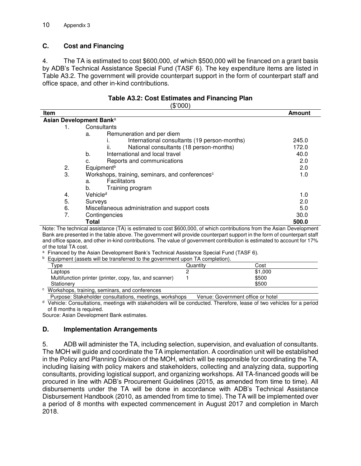# **C. Cost and Financing**

4. The TA is estimated to cost \$600,000, of which \$500,000 will be financed on a grant basis by ADB's Technical Assistance Special Fund (TASF 6). The key expenditure items are listed in Table A3.2. The government will provide counterpart support in the form of counterpart staff and office space, and other in-kind contributions.

|      | (\$'000)                                                    |               |
|------|-------------------------------------------------------------|---------------|
| ltem |                                                             | <b>Amount</b> |
|      | Asian Development Banka                                     |               |
|      | Consultants                                                 |               |
|      | Remuneration and per diem<br>a.                             |               |
|      | International consultants (19 person-months)                | 245.0         |
|      | ii.<br>National consultants (18 person-months)              | 172.0         |
|      | International and local travel<br>b.                        | 40.0          |
|      | Reports and communications<br>C.                            | 2.0           |
| 2.   | Equipment <sup>b</sup>                                      | 2.0           |
| 3.   | Workshops, training, seminars, and conferences <sup>c</sup> | 1.0           |
|      | Facilitators<br>a.                                          |               |
|      | b.<br>Training program                                      |               |
| 4.   | Vehicle <sup>d</sup>                                        | 1.0           |
| 5.   | Surveys                                                     | 2.0           |
| 6.   | Miscellaneous administration and support costs              | 5.0           |
| 7.   | Contingencies                                               | 30.0          |
|      | <b>Total</b>                                                | 500.0         |

**Table A3.2: Cost Estimates and Financing Plan** 

Note: The technical assistance (TA) is estimated to cost \$600,000, of which contributions from the Asian Development Bank are presented in the table above. The government will provide counterpart support in the form of counterpart staff and office space, and other in-kind contributions. The value of government contribution is estimated to account for 17% of the total TA cost.

<sup>a</sup> Financed by the Asian Development Bank's Technical Assistance Special Fund (TASF 6).

<sup>b</sup> Equipment (assets will be transferred to the government upon TA completion).

| Quantitv | Cost    |  |
|----------|---------|--|
|          | \$1,000 |  |
|          | \$500   |  |
|          | \$500   |  |
|          |         |  |

Purpose: Stakeholder consultations, meetings, workshops Venue: Government office or hotel

<sup>d</sup> Vehicle: Consultations, meetings with stakeholders will be conducted. Therefore, lease of two vehicles for a period of 8 months is required.

Source: Asian Development Bank estimates.

### **D. Implementation Arrangements**

5. ADB will administer the TA, including selection, supervision, and evaluation of consultants. The MOH will guide and coordinate the TA implementation. A coordination unit will be established in the Policy and Planning Division of the MOH, which will be responsible for coordinating the TA, including liaising with policy makers and stakeholders, collecting and analyzing data, supporting consultants, providing logistical support, and organizing workshops. All TA-financed goods will be procured in line with ADB's Procurement Guidelines (2015, as amended from time to time). All disbursements under the TA will be done in accordance with ADB's Technical Assistance Disbursement Handbook (2010, as amended from time to time). The TA will be implemented over a period of 8 months with expected commencement in August 2017 and completion in March 2018.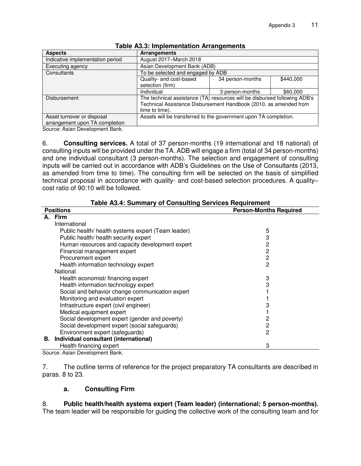| <b>Aspects</b>                   | <b>Arrangements</b>                                                       |                  |           |  |
|----------------------------------|---------------------------------------------------------------------------|------------------|-----------|--|
| Indicative implementation period | August 2017-March 2018                                                    |                  |           |  |
| Executing agency                 | Asian Development Bank (ADB)                                              |                  |           |  |
| Consultants                      | To be selected and engaged by ADB                                         |                  |           |  |
|                                  | Quality- and cost-based                                                   | 34 person-months | \$440,000 |  |
|                                  | selection (firm)                                                          |                  |           |  |
|                                  | Individual                                                                | 3 person-months  | \$60,000  |  |
| <b>Disbursement</b>              | The technical assistance (TA) resources will be disbursed following ADB's |                  |           |  |
|                                  | Technical Assistance Disbursement Handbook (2010, as amended from         |                  |           |  |
|                                  | time to time).                                                            |                  |           |  |
| Asset turnover or disposal       | Assets will be transferred to the government upon TA completion.          |                  |           |  |
| arrangement upon TA completion   |                                                                           |                  |           |  |
|                                  |                                                                           |                  |           |  |

#### **Table A3.3: Implementation Arrangements**

Source: Asian Development Bank.

6. **Consulting services.** A total of 37 person-months (19 international and 18 national) of consulting inputs will be provided under the TA. ADB will engage a firm (total of 34 person-months) and one individual consultant (3 person-months). The selection and engagement of consulting inputs will be carried out in accordance with ADB's Guidelines on the Use of Consultants (2013, as amended from time to time). The consulting firm will be selected on the basis of simplified technical proposal in accordance with quality- and cost-based selection procedures. A quality– cost ratio of 90:10 will be followed.

| Table A3.4. Summary of Consulting Services Requirement |                                                    |                               |  |  |
|--------------------------------------------------------|----------------------------------------------------|-------------------------------|--|--|
| <b>Positions</b>                                       |                                                    | <b>Person-Months Required</b> |  |  |
|                                                        | A. Firm                                            |                               |  |  |
|                                                        | International                                      |                               |  |  |
|                                                        | Public health/ health systems expert (Team leader) | 5                             |  |  |
| Public health/ health security expert                  |                                                    | 3                             |  |  |
| Human resources and capacity development expert        |                                                    | 2                             |  |  |
| Financial management expert                            |                                                    | 2                             |  |  |
|                                                        | Procurement expert                                 | $\overline{c}$                |  |  |
|                                                        | Health information technology expert               | $\overline{2}$                |  |  |
|                                                        | National                                           |                               |  |  |
|                                                        | Health economist/ financing expert                 | 3                             |  |  |
|                                                        | Health information technology expert               | 3                             |  |  |
|                                                        | Social and behavior change communication expert    |                               |  |  |
|                                                        | Monitoring and evaluation expert                   |                               |  |  |
|                                                        | Infrastructure expert (civil engineer)             | 3                             |  |  |
|                                                        | Medical equipment expert                           |                               |  |  |
|                                                        | Social development expert (gender and poverty)     | 2                             |  |  |
|                                                        | Social development expert (social safeguards)      | 2                             |  |  |
|                                                        | Environment expert (safeguards)                    | 2                             |  |  |
| В.                                                     | Individual consultant (international)              |                               |  |  |
|                                                        | Health financing expert                            | 3                             |  |  |

**Table A3.4: Summary of Consulting Services Requirement** 

Source: Asian Development Bank.

7. The outline terms of reference for the project preparatory TA consultants are described in paras. 8 to 23.

### **a. Consulting Firm**

8. **Public health/health systems expert (Team leader) (international; 5 person-months).**  The team leader will be responsible for guiding the collective work of the consulting team and for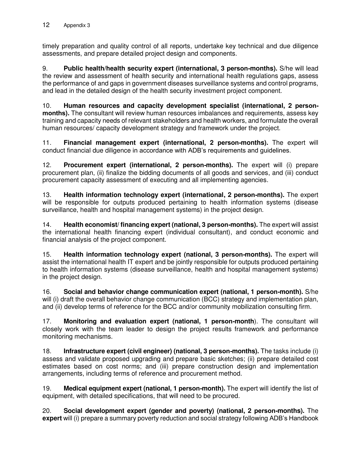timely preparation and quality control of all reports, undertake key technical and due diligence assessments, and prepare detailed project design and components.

9. **Public health/health security expert (international, 3 person-months).** S/he will lead the review and assessment of health security and international health regulations gaps, assess the performance of and gaps in government diseases surveillance systems and control programs, and lead in the detailed design of the health security investment project component.

10. **Human resources and capacity development specialist (international, 2 personmonths).** The consultant will review human resources imbalances and requirements, assess key training and capacity needs of relevant stakeholders and health workers, and formulate the overall human resources/ capacity development strategy and framework under the project.

11. **Financial management expert (international, 2 person-months).** The expert will conduct financial due diligence in accordance with ADB's requirements and guidelines.

12. **Procurement expert (international, 2 person-months).** The expert will (i) prepare procurement plan, (ii) finalize the bidding documents of all goods and services, and (iii) conduct procurement capacity assessment of executing and all implementing agencies.

13. **Health information technology expert (international, 2 person-months).** The expert will be responsible for outputs produced pertaining to health information systems (disease surveillance, health and hospital management systems) in the project design.

14. **Health economist/ financing expert (national, 3 person-months).** The expert will assist the international health financing expert (individual consultant), and conduct economic and financial analysis of the project component.

15. **Health information technology expert (national, 3 person-months).** The expert will assist the international health IT expert and be jointly responsible for outputs produced pertaining to health information systems (disease surveillance, health and hospital management systems) in the project design.

16. **Social and behavior change communication expert (national, 1 person-month).** S/he will (i) draft the overall behavior change communication (BCC) strategy and implementation plan, and (ii) develop terms of reference for the BCC and/or community mobilization consulting firm.

17. **Monitoring and evaluation expert (national, 1 person-month**). The consultant will closely work with the team leader to design the project results framework and performance monitoring mechanisms.

18. **Infrastructure expert (civil engineer) (national, 3 person-months).** The tasks include (i) assess and validate proposed upgrading and prepare basic sketches; (ii) prepare detailed cost estimates based on cost norms; and (iii) prepare construction design and implementation arrangements, including terms of reference and procurement method.

19. **Medical equipment expert (national, 1 person-month).** The expert will identify the list of equipment, with detailed specifications, that will need to be procured.

20. **Social development expert (gender and poverty) (national, 2 person-months).** The **expert** will (i) prepare a summary poverty reduction and social strategy following ADB's Handbook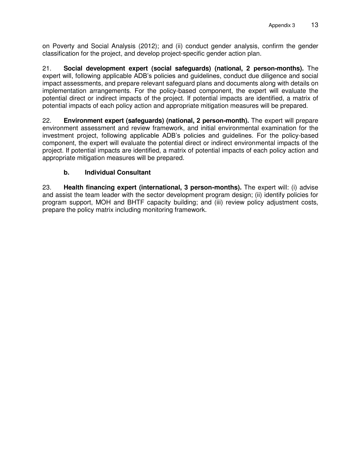on Poverty and Social Analysis (2012); and (ii) conduct gender analysis, confirm the gender classification for the project, and develop project-specific gender action plan.

21. **Social development expert (social safeguards) (national, 2 person-months).** The expert will, following applicable ADB's policies and guidelines, conduct due diligence and social impact assessments, and prepare relevant safeguard plans and documents along with details on implementation arrangements. For the policy-based component, the expert will evaluate the potential direct or indirect impacts of the project. If potential impacts are identified, a matrix of potential impacts of each policy action and appropriate mitigation measures will be prepared.

22. **Environment expert (safeguards) (national, 2 person-month).** The expert will prepare environment assessment and review framework, and initial environmental examination for the investment project, following applicable ADB's policies and guidelines. For the policy-based component, the expert will evaluate the potential direct or indirect environmental impacts of the project. If potential impacts are identified, a matrix of potential impacts of each policy action and appropriate mitigation measures will be prepared.

# **b. Individual Consultant**

23. **Health financing expert (international, 3 person-months).** The expert will: (i) advise and assist the team leader with the sector development program design; (ii) identify policies for program support, MOH and BHTF capacity building; and (iii) review policy adjustment costs, prepare the policy matrix including monitoring framework.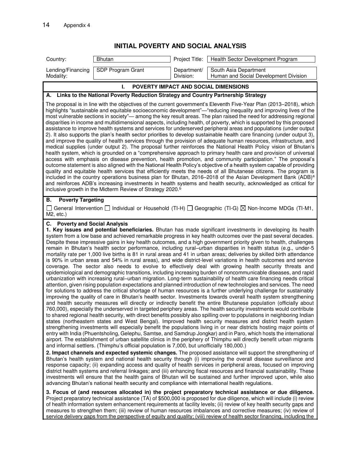**INITIAL POVERTY AND SOCIAL ANALYSIS**

| Country:                                                                                                                                                                                                                                                                                                                                                                                                                                                                                                                                                                                                                                                                                                                                                                                                                                                                                                                                                                                                                                                                                                                                                                                                                                                                                                                                                                                                                                                                                                                                                                                                                                                                                                                                                                           | Bhutan                                                                                                                                                                                          | Project Title:           | Health Sector Development Program                                                                                                                                                                                                                                                                                                                                                                                                                                                                                                                                                                                                                                                                                                                                                                                                                                                                                                                                                                                                                                                                                                                                                                                                                                                                                                                                                                                                                                                                                                                                                                                                                                                                                                                                                                                                                                                                                                                                                                                                                                                                                                                                                                                                                                                                                                                                                                                                                                                                                                                                                                                                                                                                                                                                                                                                                                                                                                                                                                                        |  |  |
|------------------------------------------------------------------------------------------------------------------------------------------------------------------------------------------------------------------------------------------------------------------------------------------------------------------------------------------------------------------------------------------------------------------------------------------------------------------------------------------------------------------------------------------------------------------------------------------------------------------------------------------------------------------------------------------------------------------------------------------------------------------------------------------------------------------------------------------------------------------------------------------------------------------------------------------------------------------------------------------------------------------------------------------------------------------------------------------------------------------------------------------------------------------------------------------------------------------------------------------------------------------------------------------------------------------------------------------------------------------------------------------------------------------------------------------------------------------------------------------------------------------------------------------------------------------------------------------------------------------------------------------------------------------------------------------------------------------------------------------------------------------------------------|-------------------------------------------------------------------------------------------------------------------------------------------------------------------------------------------------|--------------------------|--------------------------------------------------------------------------------------------------------------------------------------------------------------------------------------------------------------------------------------------------------------------------------------------------------------------------------------------------------------------------------------------------------------------------------------------------------------------------------------------------------------------------------------------------------------------------------------------------------------------------------------------------------------------------------------------------------------------------------------------------------------------------------------------------------------------------------------------------------------------------------------------------------------------------------------------------------------------------------------------------------------------------------------------------------------------------------------------------------------------------------------------------------------------------------------------------------------------------------------------------------------------------------------------------------------------------------------------------------------------------------------------------------------------------------------------------------------------------------------------------------------------------------------------------------------------------------------------------------------------------------------------------------------------------------------------------------------------------------------------------------------------------------------------------------------------------------------------------------------------------------------------------------------------------------------------------------------------------------------------------------------------------------------------------------------------------------------------------------------------------------------------------------------------------------------------------------------------------------------------------------------------------------------------------------------------------------------------------------------------------------------------------------------------------------------------------------------------------------------------------------------------------------------------------------------------------------------------------------------------------------------------------------------------------------------------------------------------------------------------------------------------------------------------------------------------------------------------------------------------------------------------------------------------------------------------------------------------------------------------------------------------------|--|--|
| Lending/Financing<br>Modality:                                                                                                                                                                                                                                                                                                                                                                                                                                                                                                                                                                                                                                                                                                                                                                                                                                                                                                                                                                                                                                                                                                                                                                                                                                                                                                                                                                                                                                                                                                                                                                                                                                                                                                                                                     | SDP Program Grant                                                                                                                                                                               | Department/<br>Division: | South Asia Department<br>Human and Social Development Division                                                                                                                                                                                                                                                                                                                                                                                                                                                                                                                                                                                                                                                                                                                                                                                                                                                                                                                                                                                                                                                                                                                                                                                                                                                                                                                                                                                                                                                                                                                                                                                                                                                                                                                                                                                                                                                                                                                                                                                                                                                                                                                                                                                                                                                                                                                                                                                                                                                                                                                                                                                                                                                                                                                                                                                                                                                                                                                                                           |  |  |
|                                                                                                                                                                                                                                                                                                                                                                                                                                                                                                                                                                                                                                                                                                                                                                                                                                                                                                                                                                                                                                                                                                                                                                                                                                                                                                                                                                                                                                                                                                                                                                                                                                                                                                                                                                                    | ı.                                                                                                                                                                                              |                          | POVERTY IMPACT AND SOCIAL DIMENSIONS                                                                                                                                                                                                                                                                                                                                                                                                                                                                                                                                                                                                                                                                                                                                                                                                                                                                                                                                                                                                                                                                                                                                                                                                                                                                                                                                                                                                                                                                                                                                                                                                                                                                                                                                                                                                                                                                                                                                                                                                                                                                                                                                                                                                                                                                                                                                                                                                                                                                                                                                                                                                                                                                                                                                                                                                                                                                                                                                                                                     |  |  |
| А.                                                                                                                                                                                                                                                                                                                                                                                                                                                                                                                                                                                                                                                                                                                                                                                                                                                                                                                                                                                                                                                                                                                                                                                                                                                                                                                                                                                                                                                                                                                                                                                                                                                                                                                                                                                 | Links to the National Poverty Reduction Strategy and Country Partnership Strategy                                                                                                               |                          |                                                                                                                                                                                                                                                                                                                                                                                                                                                                                                                                                                                                                                                                                                                                                                                                                                                                                                                                                                                                                                                                                                                                                                                                                                                                                                                                                                                                                                                                                                                                                                                                                                                                                                                                                                                                                                                                                                                                                                                                                                                                                                                                                                                                                                                                                                                                                                                                                                                                                                                                                                                                                                                                                                                                                                                                                                                                                                                                                                                                                          |  |  |
| The proposal is in line with the objectives of the current government's Eleventh Five-Year Plan (2013–2018), which<br>highlights "sustainable and equitable socioeconomic development"-"reducing inequality and improving lives of the<br>most vulnerable sections in society"— among the key result areas. The plan raised the need for addressing regional<br>disparities in income and multidimensional aspects, including health, of poverty, which is supported by this proposed<br>assistance to improve health systems and services for underserved peripheral areas and populations (under output<br>2). It also supports the plan's health sector priorities to develop sustainable health care financing (under output 3),<br>and improve the quality of health services through the provision of adequate human resources, infrastructure, and<br>medical supplies (under output 2). The proposal further reinforces the National Health Policy vision of Bhutan's<br>health system, which is grounded on a "comprehensive approach to primary health care and provision of universal<br>access with emphasis on disease prevention, health promotion, and community participation." The proposal's<br>outcome statement is also aligned with the National Health Policy's objective of a health system capable of providing<br>quality and equitable health services that efficiently meets the needs of all Bhutanese citizens. The program is<br>included in the country operations business plan for Bhutan, 2016–2018 of the Asian Development Bank (ADB) <sup>a</sup><br>and reinforces ADB's increasing investments in health systems and health security, acknowledged as critical for<br>inclusive growth in the Midterm Review of Strategy 2020. <sup>b</sup> |                                                                                                                                                                                                 |                          |                                                                                                                                                                                                                                                                                                                                                                                                                                                                                                                                                                                                                                                                                                                                                                                                                                                                                                                                                                                                                                                                                                                                                                                                                                                                                                                                                                                                                                                                                                                                                                                                                                                                                                                                                                                                                                                                                                                                                                                                                                                                                                                                                                                                                                                                                                                                                                                                                                                                                                                                                                                                                                                                                                                                                                                                                                                                                                                                                                                                                          |  |  |
| <b>Poverty Targeting</b><br>В.                                                                                                                                                                                                                                                                                                                                                                                                                                                                                                                                                                                                                                                                                                                                                                                                                                                                                                                                                                                                                                                                                                                                                                                                                                                                                                                                                                                                                                                                                                                                                                                                                                                                                                                                                     |                                                                                                                                                                                                 |                          | $\Box$ General Intervention $\Box$ Individual or Household (TI-H) $\Box$ Geographic (TI-G) $\boxtimes$ Non-Income MDGs (TI-M1,                                                                                                                                                                                                                                                                                                                                                                                                                                                                                                                                                                                                                                                                                                                                                                                                                                                                                                                                                                                                                                                                                                                                                                                                                                                                                                                                                                                                                                                                                                                                                                                                                                                                                                                                                                                                                                                                                                                                                                                                                                                                                                                                                                                                                                                                                                                                                                                                                                                                                                                                                                                                                                                                                                                                                                                                                                                                                           |  |  |
| $M2$ , etc.)                                                                                                                                                                                                                                                                                                                                                                                                                                                                                                                                                                                                                                                                                                                                                                                                                                                                                                                                                                                                                                                                                                                                                                                                                                                                                                                                                                                                                                                                                                                                                                                                                                                                                                                                                                       |                                                                                                                                                                                                 |                          |                                                                                                                                                                                                                                                                                                                                                                                                                                                                                                                                                                                                                                                                                                                                                                                                                                                                                                                                                                                                                                                                                                                                                                                                                                                                                                                                                                                                                                                                                                                                                                                                                                                                                                                                                                                                                                                                                                                                                                                                                                                                                                                                                                                                                                                                                                                                                                                                                                                                                                                                                                                                                                                                                                                                                                                                                                                                                                                                                                                                                          |  |  |
| C. Poverty and Social Analysis                                                                                                                                                                                                                                                                                                                                                                                                                                                                                                                                                                                                                                                                                                                                                                                                                                                                                                                                                                                                                                                                                                                                                                                                                                                                                                                                                                                                                                                                                                                                                                                                                                                                                                                                                     | and informal settlers. (Thimphu's official population is 7,000, but unofficially 180,000.)<br>advancing Bhutan's national health security and compliance with international health regulations. |                          | 1. Key issues and potential beneficiaries. Bhutan has made significant investments in developing its health<br>system from a low base and achieved remarkable progress in key health outcomes over the past several decades.<br>Despite these impressive gains in key health outcomes, and a high government priority given to health, challenges<br>remain in Bhutan's health sector performance, including rural-urban disparities in health status (e.g., under-5<br>mortality rate per 1,000 live births is 81 in rural areas and 41 in urban areas; deliveries by skilled birth attendance<br>is 90% in urban areas and 54% in rural areas), and wide district-level variations in health outcomes and service<br>coverage. The sector also needs to evolve to effectively deal with growing health security threats and<br>epidemiological and demographic transitions, including increasing burden of noncommunicable diseases, and rapid<br>urbanization with increasing rural-urban migration. Long-term sustainability of health care financing needs critical<br>attention, given rising population expectations and planned introduction of new technologies and services. The need<br>for solutions to address the critical shortage of human resources is a further underlying challenge for sustainably<br>improving the quality of care in Bhutan's health sector. Investments towards overall health system strengthening<br>and health security measures will directly or indirectly benefit the entire Bhutanese population (officially about<br>760,000), especially the underserved in targeted periphery areas. The health security investments would contribute<br>to shared regional health security, with direct benefits possibly also spilling over to populations in neighboring Indian<br>states (northeastern states and West Bengal). Improved health security measures and district health system<br>strengthening investments will especially benefit the populations living in or near districts hosting major points of<br>entry with India (Phuentsholing, Gelephu, Samtse, and Samdrup Jongkar) and in Paro, which hosts the international<br>airport. The establishment of urban satellite clinics in the periphery of Thimphu will directly benefit urban migrants<br>2. Impact channels and expected systemic changes. The proposed assistance will support the strengthening of<br>Bhutan's health system and national health security through (i) improving the overall disease surveillance and<br>response capacity; (ii) expanding access and quality of health services in peripheral areas, focused on improving<br>district health systems and referral linkages; and (iii) enhancing fiscal resources and financial sustainability. These<br>investments will ensure that the health gains of Bhutan will be sustained and further improved upon, while also<br>3. Focus of (and resources allocated in) the project preparatory technical assistance or due diligence. |  |  |
|                                                                                                                                                                                                                                                                                                                                                                                                                                                                                                                                                                                                                                                                                                                                                                                                                                                                                                                                                                                                                                                                                                                                                                                                                                                                                                                                                                                                                                                                                                                                                                                                                                                                                                                                                                                    |                                                                                                                                                                                                 |                          | Project preparatory technical assistance (TA) of \$500,000 is proposed for due diligence, which will include (i) review<br>of health information system enhancement requirements at facility levels: (ii) review of key health security gans and                                                                                                                                                                                                                                                                                                                                                                                                                                                                                                                                                                                                                                                                                                                                                                                                                                                                                                                                                                                                                                                                                                                                                                                                                                                                                                                                                                                                                                                                                                                                                                                                                                                                                                                                                                                                                                                                                                                                                                                                                                                                                                                                                                                                                                                                                                                                                                                                                                                                                                                                                                                                                                                                                                                                                                         |  |  |

of health information system enhancement requirements at facility levels; (ii) review of key health security gaps and measures to strengthen them; (iii) review of human resources imbalances and corrective measures; (iv) review of service delivery gaps from the perspective of equity and quality; (viii) review of health sector financing, including the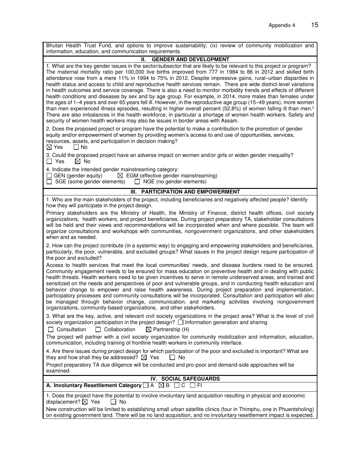| Bhutan Health Trust Fund, and options to improve sustainability; (ix) review of community mobilization and<br>information, education, and communication requirements.                                                                                                                                                                                                                                                                                                                                                                                                                                                                                                                                                                                                                                                                                                                                                                                                                                                                                                                                                                                                            |  |  |  |  |
|----------------------------------------------------------------------------------------------------------------------------------------------------------------------------------------------------------------------------------------------------------------------------------------------------------------------------------------------------------------------------------------------------------------------------------------------------------------------------------------------------------------------------------------------------------------------------------------------------------------------------------------------------------------------------------------------------------------------------------------------------------------------------------------------------------------------------------------------------------------------------------------------------------------------------------------------------------------------------------------------------------------------------------------------------------------------------------------------------------------------------------------------------------------------------------|--|--|--|--|
| <b>GENDER AND DEVELOPMENT</b><br>Н.                                                                                                                                                                                                                                                                                                                                                                                                                                                                                                                                                                                                                                                                                                                                                                                                                                                                                                                                                                                                                                                                                                                                              |  |  |  |  |
| 1. What are the key gender issues in the sector/subsector that are likely to be relevant to this project or program?<br>The maternal mortality ratio per 100,000 live births improved from 777 in 1984 to 86 in 2012 and skilled birth<br>attendance rose from a mere 11% in 1994 to 75% in 2012. Despite impressive gains, rural-urban disparities in<br>health status and access to child and reproductive health services remain. There are wide district-level variations<br>in health outcomes and service coverage. There is also a need to monitor morbidity trends and effects of different<br>health conditions and diseases by sex and by age group. For example, in 2014, more males than females under<br>the ages of 1–4 years and over 65 years fell ill. However, in the reproductive age group (15–49 years), more women<br>than men experienced illness episodes, resulting in higher overall percent (52.8%) of women falling ill than men. <sup>c</sup><br>There are also imbalances in the health workforce, in particular a shortage of women health workers. Safety and<br>security of women health workers may also be issues in border areas with Assam. |  |  |  |  |
| 2. Does the proposed project or program have the potential to make a contribution to the promotion of gender<br>equity and/or empowerment of women by providing women's access to and use of opportunities, services,<br>resources, assets, and participation in decision making?<br>$\boxtimes$ Yes<br>$\Box$ No                                                                                                                                                                                                                                                                                                                                                                                                                                                                                                                                                                                                                                                                                                                                                                                                                                                                |  |  |  |  |
| 3. Could the proposed project have an adverse impact on women and/or girls or widen gender inequality?<br>$\boxtimes$ No<br>$\Box$ Yes                                                                                                                                                                                                                                                                                                                                                                                                                                                                                                                                                                                                                                                                                                                                                                                                                                                                                                                                                                                                                                           |  |  |  |  |
| 4. Indicate the intended gender mainstreaming category:<br>$\Box$ GEN (gender equity)<br>$\boxtimes$ EGM (effective gender mainstreaming)<br>$\Box$ SGE (some gender elements) $\Box$ NGE (no gender elements)                                                                                                                                                                                                                                                                                                                                                                                                                                                                                                                                                                                                                                                                                                                                                                                                                                                                                                                                                                   |  |  |  |  |
| <b>PARTICIPATION AND EMPOWERMENT</b><br>III.                                                                                                                                                                                                                                                                                                                                                                                                                                                                                                                                                                                                                                                                                                                                                                                                                                                                                                                                                                                                                                                                                                                                     |  |  |  |  |
| 1. Who are the main stakeholders of the project, including beneficiaries and negatively affected people? Identify<br>how they will participate in the project design.                                                                                                                                                                                                                                                                                                                                                                                                                                                                                                                                                                                                                                                                                                                                                                                                                                                                                                                                                                                                            |  |  |  |  |
| Primary stakeholders are the Ministry of Health, the Ministry of Finance, district health offices, civil society<br>organizations, health workers, and project beneficiaries. During project preparatory TA, stakeholder consultations<br>will be held and their views and recommendations will be incorporated when and where possible. The team will<br>organize consultations and workshops with communities, nongovernment organizations, and other stakeholders<br>when and as needed.                                                                                                                                                                                                                                                                                                                                                                                                                                                                                                                                                                                                                                                                                      |  |  |  |  |
| 2. How can the project contribute (in a systemic way) to engaging and empowering stakeholders and beneficiaries,<br>particularly, the poor, vulnerable, and excluded groups? What issues in the project design require participation of<br>the poor and excluded?                                                                                                                                                                                                                                                                                                                                                                                                                                                                                                                                                                                                                                                                                                                                                                                                                                                                                                                |  |  |  |  |
| Access to health services that meet the local communities' needs, and disease burdens need to be ensured.<br>Community engagement needs to be ensured for mass education on preventive health and in dealing with public<br>health threats. Health workers need to be given incentives to serve in remote underserved areas, and trained and<br>sensitized on the needs and perspectives of poor and vulnerable groups, and in conducting health education and<br>behavior change to empower and raise health awareness. During project preparation and implementation,<br>participatory processes and community consultations will be incorporated. Consultation and participation will also<br>be managed through behavior change, communication, and marketing activities involving nongovernment<br>organizations, community-based organizations, and other stakeholders.                                                                                                                                                                                                                                                                                                    |  |  |  |  |
| 3. What are the key, active, and relevant civil society organizations in the project area? What is the level of civil<br>society organization participation in the project design? $\Box$ Information generation and sharing<br>$\boxtimes$ Partnership (H)<br>Consultation<br>$\Box$ Collaboration                                                                                                                                                                                                                                                                                                                                                                                                                                                                                                                                                                                                                                                                                                                                                                                                                                                                              |  |  |  |  |
| The project will partner with a civil society organization for community mobilization and information, education,<br>communication, including training of frontline health workers in community interface.                                                                                                                                                                                                                                                                                                                                                                                                                                                                                                                                                                                                                                                                                                                                                                                                                                                                                                                                                                       |  |  |  |  |
| 4. Are there issues during project design for which participation of the poor and excluded is important? What are<br>they and how shall they be addressed? $\boxtimes$ Yes<br>l I No                                                                                                                                                                                                                                                                                                                                                                                                                                                                                                                                                                                                                                                                                                                                                                                                                                                                                                                                                                                             |  |  |  |  |
| Project preparatory TA due diligence will be conducted and pro-poor and demand-side approaches will be<br>examined.                                                                                                                                                                                                                                                                                                                                                                                                                                                                                                                                                                                                                                                                                                                                                                                                                                                                                                                                                                                                                                                              |  |  |  |  |
| IV. SOCIAL SAFEGUARDS                                                                                                                                                                                                                                                                                                                                                                                                                                                                                                                                                                                                                                                                                                                                                                                                                                                                                                                                                                                                                                                                                                                                                            |  |  |  |  |
| A. Involuntary Resettlement Category<br>A<br>$\boxtimes$ B<br>C<br>-FI                                                                                                                                                                                                                                                                                                                                                                                                                                                                                                                                                                                                                                                                                                                                                                                                                                                                                                                                                                                                                                                                                                           |  |  |  |  |
| 1. Does the project have the potential to involve involuntary land acquisition resulting in physical and economic<br>displacement? $\boxtimes$ Yes<br>$\Box$ No                                                                                                                                                                                                                                                                                                                                                                                                                                                                                                                                                                                                                                                                                                                                                                                                                                                                                                                                                                                                                  |  |  |  |  |
| New construction will be limited to establishing small urban satellite clinics (four in Thimphu, one in Phuentsholing)<br>on existing government land. There will be no land acquisition, and no involuntary resettlement impact is expected.                                                                                                                                                                                                                                                                                                                                                                                                                                                                                                                                                                                                                                                                                                                                                                                                                                                                                                                                    |  |  |  |  |